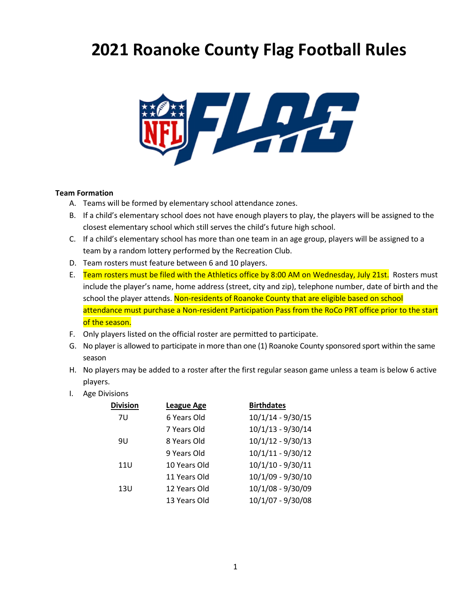# **2021 Roanoke County Flag Football Rules**



#### **Team Formation**

- A. Teams will be formed by elementary school attendance zones.
- B. If a child's elementary school does not have enough players to play, the players will be assigned to the closest elementary school which still serves the child's future high school.
- C. If a child's elementary school has more than one team in an age group, players will be assigned to a team by a random lottery performed by the Recreation Club.
- D. Team rosters must feature between 6 and 10 players.
- E. Team rosters must be filed with the Athletics office by 8:00 AM on Wednesday, July 21st. Rosters must include the player's name, home address (street, city and zip), telephone number, date of birth and the school the player attends. Non-residents of Roanoke County that are eligible based on school attendance must purchase a Non-resident Participation Pass from the RoCo PRT office prior to the start of the season.
- F. Only players listed on the official roster are permitted to participate.
- G. No player is allowed to participate in more than one (1) Roanoke County sponsored sport within the same season
- H. No players may be added to a roster after the first regular season game unless a team is below 6 active players.
- I. Age Divisions

| <b>Division</b> | League Age   | <b>Birthdates</b>   |
|-----------------|--------------|---------------------|
| 7U              | 6 Years Old  | $10/1/14 - 9/30/15$ |
|                 | 7 Years Old  | $10/1/13 - 9/30/14$ |
| 9U              | 8 Years Old  | $10/1/12 - 9/30/13$ |
|                 | 9 Years Old  | 10/1/11 - 9/30/12   |
| 11U             | 10 Years Old | $10/1/10 - 9/30/11$ |
|                 | 11 Years Old | 10/1/09 - 9/30/10   |
| 13U             | 12 Years Old | 10/1/08 - 9/30/09   |
|                 | 13 Years Old | 10/1/07 - 9/30/08   |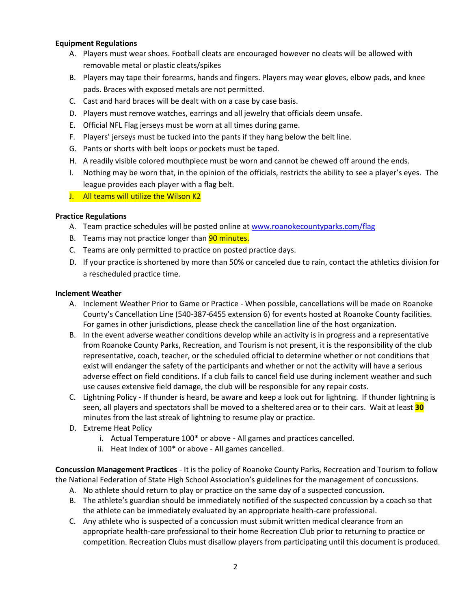#### **Equipment Regulations**

- A. Players must wear shoes. Football cleats are encouraged however no cleats will be allowed with removable metal or plastic cleats/spikes
- B. Players may tape their forearms, hands and fingers. Players may wear gloves, elbow pads, and knee pads. Braces with exposed metals are not permitted.
- C. Cast and hard braces will be dealt with on a case by case basis.
- D. Players must remove watches, earrings and all jewelry that officials deem unsafe.
- E. Official NFL Flag jerseys must be worn at all times during game.
- F. Players' jerseys must be tucked into the pants if they hang below the belt line.
- G. Pants or shorts with belt loops or pockets must be taped.
- H. A readily visible colored mouthpiece must be worn and cannot be chewed off around the ends.
- I. Nothing may be worn that, in the opinion of the officials, restricts the ability to see a player's eyes. The league provides each player with a flag belt.
- J. All teams will utilize the Wilson K2

### **Practice Regulations**

- A. Team practice schedules will be posted online at [www.roanokecountyparks.com/flag](http://www.roanokecountyparks.com/flag)
- B. Teams may not practice longer than **90 minutes.**
- C. Teams are only permitted to practice on posted practice days.
- D. If your practice is shortened by more than 50% or canceled due to rain, contact the athletics division for a rescheduled practice time.

#### **Inclement Weather**

- A. Inclement Weather Prior to Game or Practice When possible, cancellations will be made on Roanoke County's Cancellation Line (540-387-6455 extension 6) for events hosted at Roanoke County facilities. For games in other jurisdictions, please check the cancellation line of the host organization.
- B. In the event adverse weather conditions develop while an activity is in progress and a representative from Roanoke County Parks, Recreation, and Tourism is not present, it is the responsibility of the club representative, coach, teacher, or the scheduled official to determine whether or not conditions that exist will endanger the safety of the participants and whether or not the activity will have a serious adverse effect on field conditions. If a club fails to cancel field use during inclement weather and such use causes extensive field damage, the club will be responsible for any repair costs.
- C. Lightning Policy If thunder is heard, be aware and keep a look out for lightning. If thunder lightning is seen, all players and spectators shall be moved to a sheltered area or to their cars. Wait at least **30** minutes from the last streak of lightning to resume play or practice.
- D. Extreme Heat Policy
	- i. Actual Temperature 100\* or above All games and practices cancelled.
	- ii. Heat Index of 100\* or above All games cancelled.

**Concussion Management Practices** - It is the policy of Roanoke County Parks, Recreation and Tourism to follow the National Federation of State High School Association's guidelines for the management of concussions.

- A. No athlete should return to play or practice on the same day of a suspected concussion.
- B. The athlete's guardian should be immediately notified of the suspected concussion by a coach so that the athlete can be immediately evaluated by an appropriate health-care professional.
- C. Any athlete who is suspected of a concussion must submit written medical clearance from an appropriate health-care professional to their home Recreation Club prior to returning to practice or competition. Recreation Clubs must disallow players from participating until this document is produced.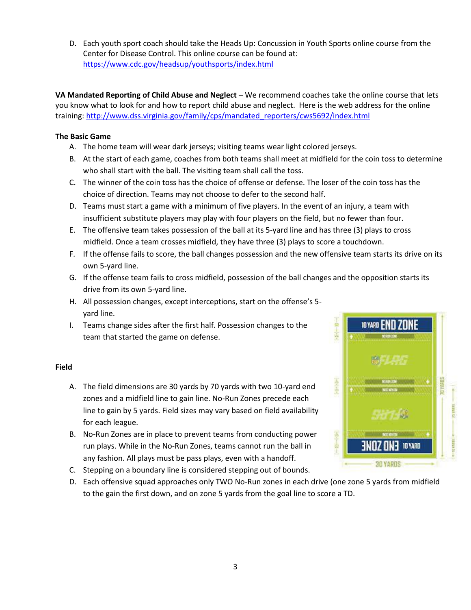D. Each youth sport coach should take the Heads Up: Concussion in Youth Sports online course from the Center for Disease Control. This online course can be found at: <https://www.cdc.gov/headsup/youthsports/index.html>

**VA Mandated Reporting of Child Abuse and Neglect** – We recommend coaches take the online course that lets you know what to look for and how to report child abuse and neglect. Here is the web address for the online training: [http://www.dss.virginia.gov/family/cps/mandated\\_reporters/cws5692/index.html](http://www.dss.virginia.gov/family/cps/mandated_reporters/cws5692/index.html)

## **The Basic Game**

- A. The home team will wear dark jerseys; visiting teams wear light colored jerseys.
- B. At the start of each game, coaches from both teams shall meet at midfield for the coin toss to determine who shall start with the ball. The visiting team shall call the toss.
- C. The winner of the coin toss has the choice of offense or defense. The loser of the coin toss has the choice of direction. Teams may not choose to defer to the second half.
- D. Teams must start a game with a minimum of five players. In the event of an injury, a team with insufficient substitute players may play with four players on the field, but no fewer than four.
- E. The offensive team takes possession of the ball at its 5-yard line and has three (3) plays to cross midfield. Once a team crosses midfield, they have three (3) plays to score a touchdown.
- F. If the offense fails to score, the ball changes possession and the new offensive team starts its drive on its own 5-yard line.
- G. If the offense team fails to cross midfield, possession of the ball changes and the opposition starts its drive from its own 5-yard line.
- H. All possession changes, except interceptions, start on the offense's 5 yard line.
- I. Teams change sides after the first half. Possession changes to the team that started the game on defense.

## **Field**

- A. The field dimensions are 30 yards by 70 yards with two 10-yard end zones and a midfield line to gain line. No-Run Zones precede each line to gain by 5 yards. Field sizes may vary based on field availability for each league.
- B. No-Run Zones are in place to prevent teams from conducting power run plays. While in the No-Run Zones, teams cannot run the ball in any fashion. All plays must be pass plays, even with a handoff.
- C. Stepping on a boundary line is considered stepping out of bounds.
- D. Each offensive squad approaches only TWO No-Run zones in each drive (one zone 5 yards from midfield to the gain the first down, and on zone 5 yards from the goal line to score a TD.

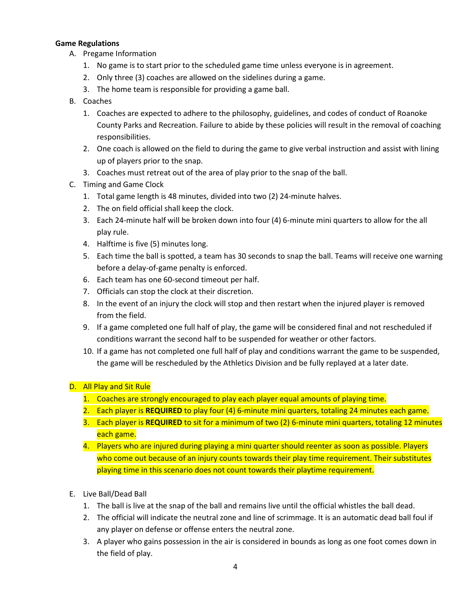#### **Game Regulations**

- A. Pregame Information
	- 1. No game is to start prior to the scheduled game time unless everyone is in agreement.
	- 2. Only three (3) coaches are allowed on the sidelines during a game.
	- 3. The home team is responsible for providing a game ball.
- B. Coaches
	- 1. Coaches are expected to adhere to the philosophy, guidelines, and codes of conduct of Roanoke County Parks and Recreation. Failure to abide by these policies will result in the removal of coaching responsibilities.
	- 2. One coach is allowed on the field to during the game to give verbal instruction and assist with lining up of players prior to the snap.
	- 3. Coaches must retreat out of the area of play prior to the snap of the ball.
- C. Timing and Game Clock
	- 1. Total game length is 48 minutes, divided into two (2) 24-minute halves.
	- 2. The on field official shall keep the clock.
	- 3. Each 24-minute half will be broken down into four (4) 6-minute mini quarters to allow for the all play rule.
	- 4. Halftime is five (5) minutes long.
	- 5. Each time the ball is spotted, a team has 30 seconds to snap the ball. Teams will receive one warning before a delay-of-game penalty is enforced.
	- 6. Each team has one 60-second timeout per half.
	- 7. Officials can stop the clock at their discretion.
	- 8. In the event of an injury the clock will stop and then restart when the injured player is removed from the field.
	- 9. If a game completed one full half of play, the game will be considered final and not rescheduled if conditions warrant the second half to be suspended for weather or other factors.
	- 10. If a game has not completed one full half of play and conditions warrant the game to be suspended, the game will be rescheduled by the Athletics Division and be fully replayed at a later date.

## D. All Play and Sit Rule

- 1. Coaches are strongly encouraged to play each player equal amounts of playing time.
- 2. Each player is **REQUIRED** to play four (4) 6-minute mini quarters, totaling 24 minutes each game.
- 3. Each player is **REQUIRED** to sit for a minimum of two (2) 6-minute mini quarters, totaling 12 minutes each game.
- 4. Players who are injured during playing a mini quarter should reenter as soon as possible. Players who come out because of an injury counts towards their play time requirement. Their substitutes playing time in this scenario does not count towards their playtime requirement.
- E. Live Ball/Dead Ball
	- 1. The ball is live at the snap of the ball and remains live until the official whistles the ball dead.
	- 2. The official will indicate the neutral zone and line of scrimmage. It is an automatic dead ball foul if any player on defense or offense enters the neutral zone.
	- 3. A player who gains possession in the air is considered in bounds as long as one foot comes down in the field of play.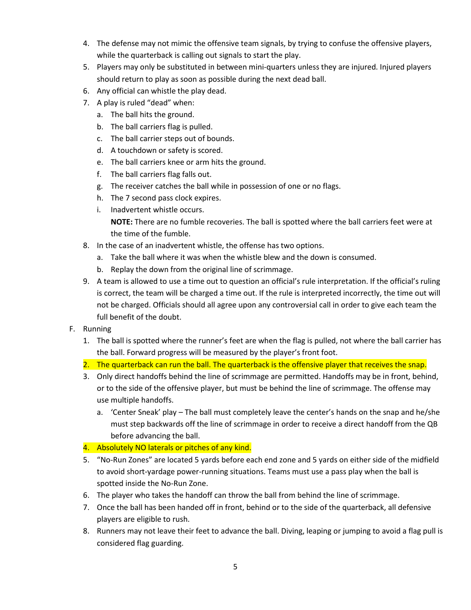- 4. The defense may not mimic the offensive team signals, by trying to confuse the offensive players, while the quarterback is calling out signals to start the play.
- 5. Players may only be substituted in between mini-quarters unless they are injured. Injured players should return to play as soon as possible during the next dead ball.
- 6. Any official can whistle the play dead.
- 7. A play is ruled "dead" when:
	- a. The ball hits the ground.
	- b. The ball carriers flag is pulled.
	- c. The ball carrier steps out of bounds.
	- d. A touchdown or safety is scored.
	- e. The ball carriers knee or arm hits the ground.
	- f. The ball carriers flag falls out.
	- g. The receiver catches the ball while in possession of one or no flags.
	- h. The 7 second pass clock expires.
	- i. Inadvertent whistle occurs.

**NOTE:** There are no fumble recoveries. The ball is spotted where the ball carriers feet were at the time of the fumble.

- 8. In the case of an inadvertent whistle, the offense has two options.
	- a. Take the ball where it was when the whistle blew and the down is consumed.
	- b. Replay the down from the original line of scrimmage.
- 9. A team is allowed to use a time out to question an official's rule interpretation. If the official's ruling is correct, the team will be charged a time out. If the rule is interpreted incorrectly, the time out will not be charged. Officials should all agree upon any controversial call in order to give each team the full benefit of the doubt.
- F. Running
	- 1. The ball is spotted where the runner's feet are when the flag is pulled, not where the ball carrier has the ball. Forward progress will be measured by the player's front foot.
	- 2. The quarterback can run the ball. The quarterback is the offensive player that receives the snap.
	- 3. Only direct handoffs behind the line of scrimmage are permitted. Handoffs may be in front, behind, or to the side of the offensive player, but must be behind the line of scrimmage. The offense may use multiple handoffs.
		- a. 'Center Sneak' play The ball must completely leave the center's hands on the snap and he/she must step backwards off the line of scrimmage in order to receive a direct handoff from the QB before advancing the ball.
	- 4. Absolutely NO laterals or pitches of any kind.
	- 5. "No-Run Zones" are located 5 yards before each end zone and 5 yards on either side of the midfield to avoid short-yardage power-running situations. Teams must use a pass play when the ball is spotted inside the No-Run Zone.
	- 6. The player who takes the handoff can throw the ball from behind the line of scrimmage.
	- 7. Once the ball has been handed off in front, behind or to the side of the quarterback, all defensive players are eligible to rush.
	- 8. Runners may not leave their feet to advance the ball. Diving, leaping or jumping to avoid a flag pull is considered flag guarding.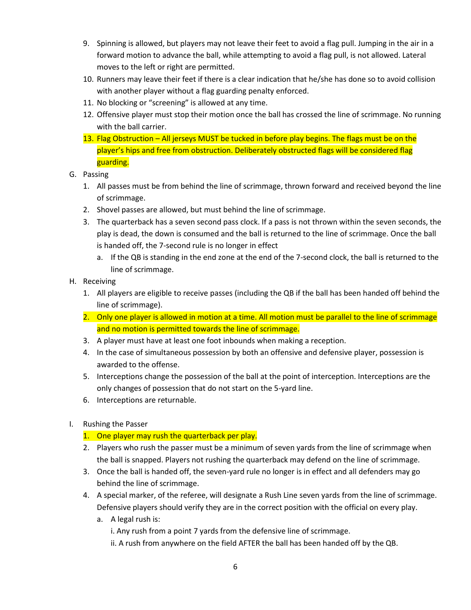- 9. Spinning is allowed, but players may not leave their feet to avoid a flag pull. Jumping in the air in a forward motion to advance the ball, while attempting to avoid a flag pull, is not allowed. Lateral moves to the left or right are permitted.
- 10. Runners may leave their feet if there is a clear indication that he/she has done so to avoid collision with another player without a flag guarding penalty enforced.
- 11. No blocking or "screening" is allowed at any time.
- 12. Offensive player must stop their motion once the ball has crossed the line of scrimmage. No running with the ball carrier.
- 13. Flag Obstruction All jerseys MUST be tucked in before play begins. The flags must be on the player's hips and free from obstruction. Deliberately obstructed flags will be considered flag guarding.
- G. Passing
	- 1. All passes must be from behind the line of scrimmage, thrown forward and received beyond the line of scrimmage.
	- 2. Shovel passes are allowed, but must behind the line of scrimmage.
	- 3. The quarterback has a seven second pass clock. If a pass is not thrown within the seven seconds, the play is dead, the down is consumed and the ball is returned to the line of scrimmage. Once the ball is handed off, the 7-second rule is no longer in effect
		- a. If the QB is standing in the end zone at the end of the 7-second clock, the ball is returned to the line of scrimmage.
- H. Receiving
	- 1. All players are eligible to receive passes (including the QB if the ball has been handed off behind the line of scrimmage).
	- 2. Only one player is allowed in motion at a time. All motion must be parallel to the line of scrimmage and no motion is permitted towards the line of scrimmage.
	- 3. A player must have at least one foot inbounds when making a reception.
	- 4. In the case of simultaneous possession by both an offensive and defensive player, possession is awarded to the offense.
	- 5. Interceptions change the possession of the ball at the point of interception. Interceptions are the only changes of possession that do not start on the 5-yard line.
	- 6. Interceptions are returnable.
- I. Rushing the Passer

## 1. One player may rush the quarterback per play.

- 2. Players who rush the passer must be a minimum of seven yards from the line of scrimmage when the ball is snapped. Players not rushing the quarterback may defend on the line of scrimmage.
- 3. Once the ball is handed off, the seven-yard rule no longer is in effect and all defenders may go behind the line of scrimmage.
- 4. A special marker, of the referee, will designate a Rush Line seven yards from the line of scrimmage. Defensive players should verify they are in the correct position with the official on every play.
	- a. A legal rush is:
		- i. Any rush from a point 7 yards from the defensive line of scrimmage.
		- ii. A rush from anywhere on the field AFTER the ball has been handed off by the QB.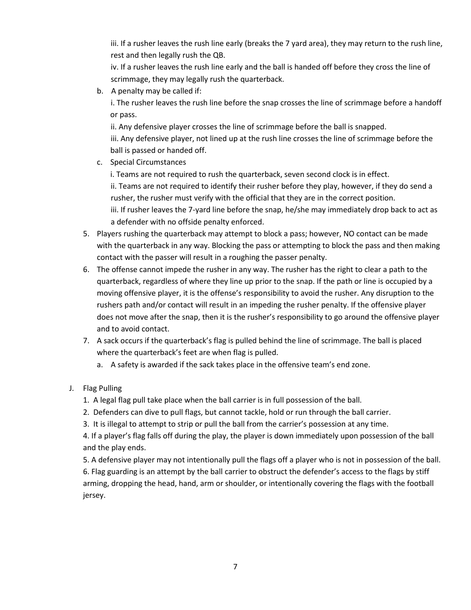iii. If a rusher leaves the rush line early (breaks the 7 yard area), they may return to the rush line, rest and then legally rush the QB.

iv. If a rusher leaves the rush line early and the ball is handed off before they cross the line of scrimmage, they may legally rush the quarterback.

b. A penalty may be called if:

i. The rusher leaves the rush line before the snap crosses the line of scrimmage before a handoff or pass.

ii. Any defensive player crosses the line of scrimmage before the ball is snapped.

iii. Any defensive player, not lined up at the rush line crosses the line of scrimmage before the ball is passed or handed off.

c. Special Circumstances

i. Teams are not required to rush the quarterback, seven second clock is in effect.

ii. Teams are not required to identify their rusher before they play, however, if they do send a rusher, the rusher must verify with the official that they are in the correct position.

iii. If rusher leaves the 7-yard line before the snap, he/she may immediately drop back to act as a defender with no offside penalty enforced.

- 5. Players rushing the quarterback may attempt to block a pass; however, NO contact can be made with the quarterback in any way. Blocking the pass or attempting to block the pass and then making contact with the passer will result in a roughing the passer penalty.
- 6. The offense cannot impede the rusher in any way. The rusher has the right to clear a path to the quarterback, regardless of where they line up prior to the snap. If the path or line is occupied by a moving offensive player, it is the offense's responsibility to avoid the rusher. Any disruption to the rushers path and/or contact will result in an impeding the rusher penalty. If the offensive player does not move after the snap, then it is the rusher's responsibility to go around the offensive player and to avoid contact.
- 7. A sack occurs if the quarterback's flag is pulled behind the line of scrimmage. The ball is placed where the quarterback's feet are when flag is pulled.
	- a. A safety is awarded if the sack takes place in the offensive team's end zone.
- J. Flag Pulling
	- 1. A legal flag pull take place when the ball carrier is in full possession of the ball.
	- 2. Defenders can dive to pull flags, but cannot tackle, hold or run through the ball carrier.
	- 3. It is illegal to attempt to strip or pull the ball from the carrier's possession at any time.

4. If a player's flag falls off during the play, the player is down immediately upon possession of the ball and the play ends.

5. A defensive player may not intentionally pull the flags off a player who is not in possession of the ball. 6. Flag guarding is an attempt by the ball carrier to obstruct the defender's access to the flags by stiff arming, dropping the head, hand, arm or shoulder, or intentionally covering the flags with the football jersey.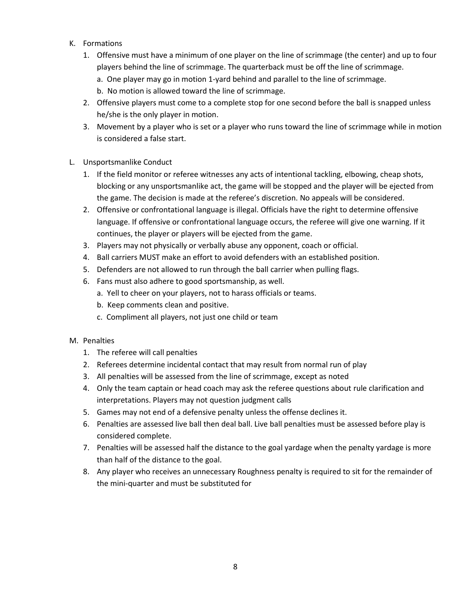- K. Formations
	- 1. Offensive must have a minimum of one player on the line of scrimmage (the center) and up to four players behind the line of scrimmage. The quarterback must be off the line of scrimmage.
		- a. One player may go in motion 1-yard behind and parallel to the line of scrimmage.
		- b. No motion is allowed toward the line of scrimmage.
	- 2. Offensive players must come to a complete stop for one second before the ball is snapped unless he/she is the only player in motion.
	- 3. Movement by a player who is set or a player who runs toward the line of scrimmage while in motion is considered a false start.
- L. Unsportsmanlike Conduct
	- 1. If the field monitor or referee witnesses any acts of intentional tackling, elbowing, cheap shots, blocking or any unsportsmanlike act, the game will be stopped and the player will be ejected from the game. The decision is made at the referee's discretion. No appeals will be considered.
	- 2. Offensive or confrontational language is illegal. Officials have the right to determine offensive language. If offensive or confrontational language occurs, the referee will give one warning. If it continues, the player or players will be ejected from the game.
	- 3. Players may not physically or verbally abuse any opponent, coach or official.
	- 4. Ball carriers MUST make an effort to avoid defenders with an established position.
	- 5. Defenders are not allowed to run through the ball carrier when pulling flags.
	- 6. Fans must also adhere to good sportsmanship, as well.
		- a. Yell to cheer on your players, not to harass officials or teams.
		- b. Keep comments clean and positive.
		- c. Compliment all players, not just one child or team

#### M. Penalties

- 1. The referee will call penalties
- 2. Referees determine incidental contact that may result from normal run of play
- 3. All penalties will be assessed from the line of scrimmage, except as noted
- 4. Only the team captain or head coach may ask the referee questions about rule clarification and interpretations. Players may not question judgment calls
- 5. Games may not end of a defensive penalty unless the offense declines it.
- 6. Penalties are assessed live ball then deal ball. Live ball penalties must be assessed before play is considered complete.
- 7. Penalties will be assessed half the distance to the goal yardage when the penalty yardage is more than half of the distance to the goal.
- 8. Any player who receives an unnecessary Roughness penalty is required to sit for the remainder of the mini-quarter and must be substituted for